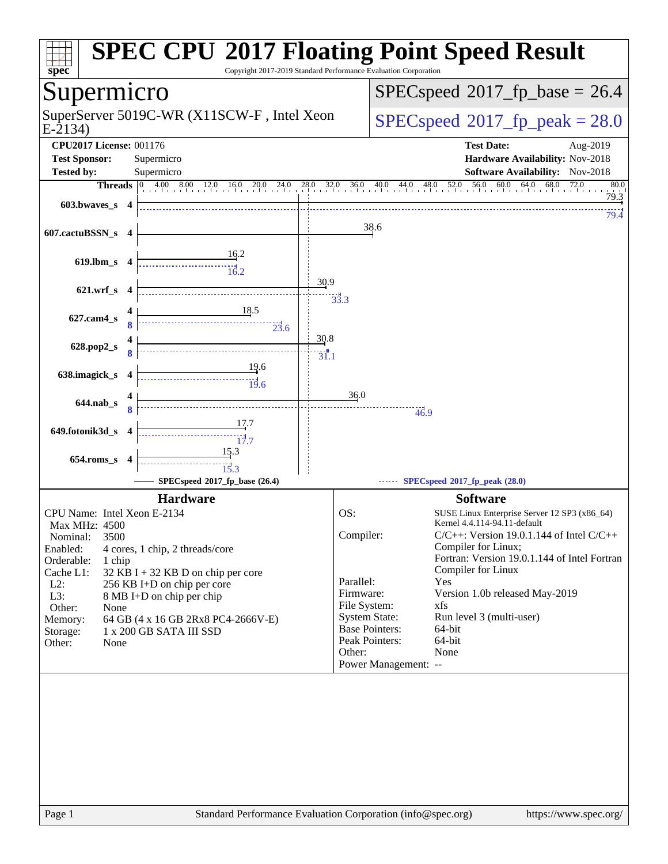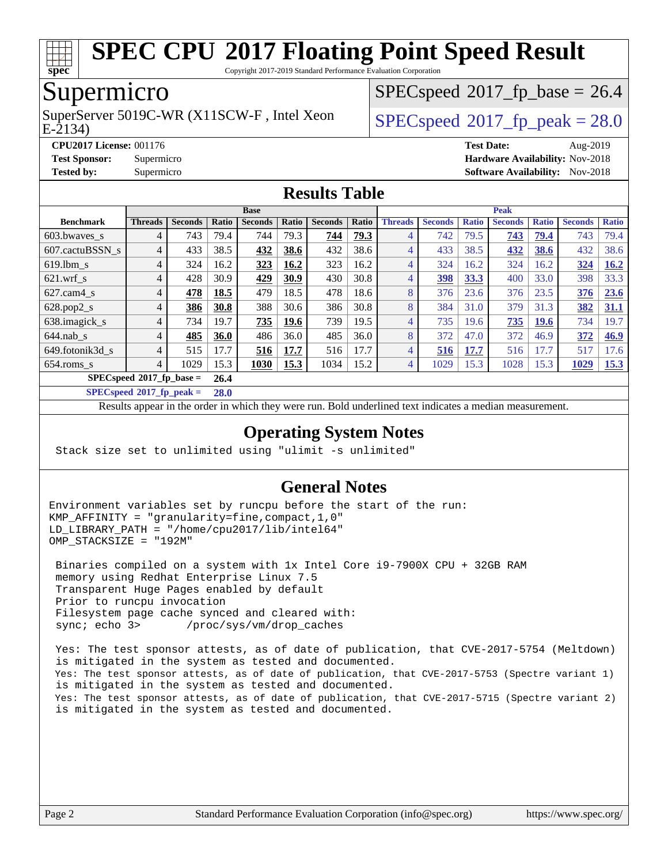

Copyright 2017-2019 Standard Performance Evaluation Corporation

## Supermicro

E-2134) SuperServer 5019C-WR (X11SCW-F, Intel Xeon  $SPEC speed^{\circ}2017$  fp\_peak = 28.0

 $SPECspeed*2017_fp\_base = 26.4$  $SPECspeed*2017_fp\_base = 26.4$ 

**[CPU2017 License:](http://www.spec.org/auto/cpu2017/Docs/result-fields.html#CPU2017License)** 001176 **[Test Date:](http://www.spec.org/auto/cpu2017/Docs/result-fields.html#TestDate)** Aug-2019 **[Test Sponsor:](http://www.spec.org/auto/cpu2017/Docs/result-fields.html#TestSponsor)** Supermicro **[Hardware Availability:](http://www.spec.org/auto/cpu2017/Docs/result-fields.html#HardwareAvailability)** Nov-2018 **[Tested by:](http://www.spec.org/auto/cpu2017/Docs/result-fields.html#Testedby)** Supermicro [Software Availability:](http://www.spec.org/auto/cpu2017/Docs/result-fields.html#SoftwareAvailability) Nov-2018

#### **[Results Table](http://www.spec.org/auto/cpu2017/Docs/result-fields.html#ResultsTable)**

|                  | <b>Base</b>                       |                |             |                |       |                |       | <b>Peak</b>    |                |              |                |              |                |              |
|------------------|-----------------------------------|----------------|-------------|----------------|-------|----------------|-------|----------------|----------------|--------------|----------------|--------------|----------------|--------------|
| <b>Benchmark</b> | <b>Threads</b>                    | <b>Seconds</b> | Ratio       | <b>Seconds</b> | Ratio | <b>Seconds</b> | Ratio | <b>Threads</b> | <b>Seconds</b> | <b>Ratio</b> | <b>Seconds</b> | <b>Ratio</b> | <b>Seconds</b> | <b>Ratio</b> |
| $603.bwaves$ s   | 4                                 | 743            | 79.4        | 744            | 79.3  | 744            | 79.3  |                | 742            | 79.5         | 743            | 79.4         | 743            | 79.4         |
| 607.cactuBSSN s  | $\overline{4}$                    | 433            | 38.5        | 432            | 38.6  | 432            | 38.6  | 4              | 433            | 38.5         | 432            | 38.6         | 432            | 38.6         |
| $619$ .lbm s     | 4                                 | 324            | 16.2        | 323            | 16.2  | 323            | 16.2  | 4              | 324            | 16.2         | 324            | 16.2         | 324            | 16.2         |
| $621$ .wrf s     | 4                                 | 428            | 30.9        | 429            | 30.9  | 430            | 30.8  | 4              | 398            | 33.3         | 400            | 33.0         | 398            | 33.3         |
| $627$ .cam $4_s$ | 4                                 | 478            | 18.5        | 479            | 18.5  | 478            | 18.6  | 8              | 376            | 23.6         | 376            | 23.5         | 376            | 23.6         |
| $628.pop2_s$     | 4                                 | 386            | 30.8        | 388            | 30.6  | 386            | 30.8  | 8              | 384            | 31.0         | 379            | 31.3         | 382            | 31.1         |
| 638.imagick_s    | 4                                 | 734            | 19.7        | 735            | 19.6  | 739            | 19.5  | 4              | 735            | 19.6         | 735            | 19.6         | 734            | 19.7         |
| $644$ .nab s     | 4                                 | 485            | <b>36.0</b> | 486            | 36.0  | 485            | 36.0  | 8              | 372            | 47.0         | 372            | 46.9         | 372            | 46.9         |
| 649.fotonik3d s  | 4                                 | 515            | 7.7         | 516            | 17.7  | 516            | 17.7  | 4              | 516            | 17.7         | 516            | 17.7         | 517            | 17.6         |
| $654$ .roms s    | 4                                 | 1029           | 15.3        | 1030           | 15.3  | 1034           | 15.2  | 4              | 1029           | 15.3         | 1028           | 15.3         | 1029           | 15.3         |
|                  | $SPECspeed^{\circ}2017$ fp base = |                | 26.4        |                |       |                |       |                |                |              |                |              |                |              |

**[SPECspeed](http://www.spec.org/auto/cpu2017/Docs/result-fields.html#SPECspeed2017fppeak)[2017\\_fp\\_peak =](http://www.spec.org/auto/cpu2017/Docs/result-fields.html#SPECspeed2017fppeak) 28.0**

Results appear in the [order in which they were run.](http://www.spec.org/auto/cpu2017/Docs/result-fields.html#RunOrder) Bold underlined text [indicates a median measurement.](http://www.spec.org/auto/cpu2017/Docs/result-fields.html#Median)

#### **[Operating System Notes](http://www.spec.org/auto/cpu2017/Docs/result-fields.html#OperatingSystemNotes)**

Stack size set to unlimited using "ulimit -s unlimited"

#### **[General Notes](http://www.spec.org/auto/cpu2017/Docs/result-fields.html#GeneralNotes)**

Environment variables set by runcpu before the start of the run: KMP\_AFFINITY = "granularity=fine,compact,1,0" LD LIBRARY PATH = "/home/cpu2017/lib/intel64" OMP\_STACKSIZE = "192M"

 Binaries compiled on a system with 1x Intel Core i9-7900X CPU + 32GB RAM memory using Redhat Enterprise Linux 7.5 Transparent Huge Pages enabled by default Prior to runcpu invocation Filesystem page cache synced and cleared with: sync; echo 3> /proc/sys/vm/drop\_caches

 Yes: The test sponsor attests, as of date of publication, that CVE-2017-5754 (Meltdown) is mitigated in the system as tested and documented. Yes: The test sponsor attests, as of date of publication, that CVE-2017-5753 (Spectre variant 1) is mitigated in the system as tested and documented. Yes: The test sponsor attests, as of date of publication, that CVE-2017-5715 (Spectre variant 2) is mitigated in the system as tested and documented.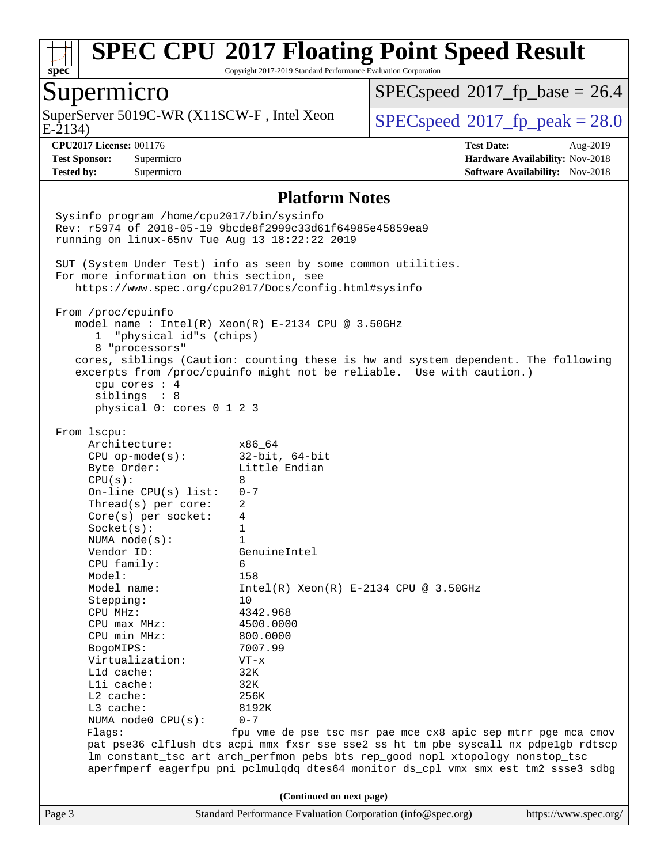

Copyright 2017-2019 Standard Performance Evaluation Corporation

### Supermicro

E-2134) SuperServer 5019C-WR (X11SCW-F, Intel Xeon  $SPEC speed^{\circ}2017$  fp\_peak = 28.0

 $SPECspeed*2017_fp\_base = 26.4$  $SPECspeed*2017_fp\_base = 26.4$ 

**[CPU2017 License:](http://www.spec.org/auto/cpu2017/Docs/result-fields.html#CPU2017License)** 001176 **[Test Date:](http://www.spec.org/auto/cpu2017/Docs/result-fields.html#TestDate)** Aug-2019 **[Test Sponsor:](http://www.spec.org/auto/cpu2017/Docs/result-fields.html#TestSponsor)** Supermicro **[Hardware Availability:](http://www.spec.org/auto/cpu2017/Docs/result-fields.html#HardwareAvailability)** Nov-2018 **[Tested by:](http://www.spec.org/auto/cpu2017/Docs/result-fields.html#Testedby)** Supermicro **Supermicro [Software Availability:](http://www.spec.org/auto/cpu2017/Docs/result-fields.html#SoftwareAvailability)** Nov-2018

#### **[Platform Notes](http://www.spec.org/auto/cpu2017/Docs/result-fields.html#PlatformNotes)**

Page 3 Standard Performance Evaluation Corporation [\(info@spec.org\)](mailto:info@spec.org) <https://www.spec.org/> Sysinfo program /home/cpu2017/bin/sysinfo Rev: r5974 of 2018-05-19 9bcde8f2999c33d61f64985e45859ea9 running on linux-65nv Tue Aug 13 18:22:22 2019 SUT (System Under Test) info as seen by some common utilities. For more information on this section, see <https://www.spec.org/cpu2017/Docs/config.html#sysinfo> From /proc/cpuinfo model name : Intel(R) Xeon(R) E-2134 CPU @ 3.50GHz 1 "physical id"s (chips) 8 "processors" cores, siblings (Caution: counting these is hw and system dependent. The following excerpts from /proc/cpuinfo might not be reliable. Use with caution.) cpu cores : 4 siblings : 8 physical 0: cores 0 1 2 3 From lscpu: Architecture: x86\_64 CPU op-mode(s): 32-bit, 64-bit Byte Order: Little Endian  $CPU(s): 8$  On-line CPU(s) list: 0-7 Thread(s) per core: 2 Core(s) per socket: 4 Socket(s): 1 NUMA node(s): 1 Vendor ID: GenuineIntel CPU family: 6 Model: 158<br>Model name: 1158  $Intel(R)$  Xeon(R) E-2134 CPU @ 3.50GHz Stepping: 10 CPU MHz: 4342.968 CPU max MHz: 4500.0000 CPU min MHz: 800.0000 BogoMIPS: 7007.99 Virtualization: VT-x L1d cache: 32K L1i cache: 32K L2 cache: 256K L3 cache: 8192K NUMA node0 CPU(s): 0-7 Flags: fpu vme de pse tsc msr pae mce cx8 apic sep mtrr pge mca cmov pat pse36 clflush dts acpi mmx fxsr sse sse2 ss ht tm pbe syscall nx pdpe1gb rdtscp lm constant\_tsc art arch\_perfmon pebs bts rep\_good nopl xtopology nonstop\_tsc aperfmperf eagerfpu pni pclmulqdq dtes64 monitor ds\_cpl vmx smx est tm2 ssse3 sdbg **(Continued on next page)**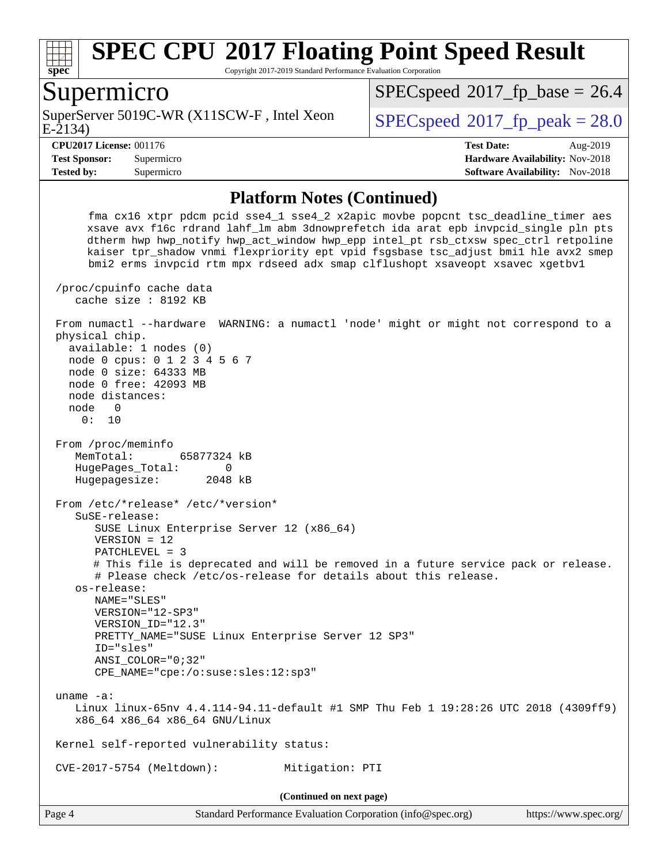

Copyright 2017-2019 Standard Performance Evaluation Corporation

#### Supermicro

E-2134) SuperServer 5019C-WR (X11SCW-F, Intel Xeon  $SPEC speed^{\circ}2017$  fp\_peak = 28.0

 $SPECspeed*2017_fp\_base = 26.4$  $SPECspeed*2017_fp\_base = 26.4$ 

**[Tested by:](http://www.spec.org/auto/cpu2017/Docs/result-fields.html#Testedby)** Supermicro **Supermicro [Software Availability:](http://www.spec.org/auto/cpu2017/Docs/result-fields.html#SoftwareAvailability)** Nov-2018

**[CPU2017 License:](http://www.spec.org/auto/cpu2017/Docs/result-fields.html#CPU2017License)** 001176 **[Test Date:](http://www.spec.org/auto/cpu2017/Docs/result-fields.html#TestDate)** Aug-2019 **[Test Sponsor:](http://www.spec.org/auto/cpu2017/Docs/result-fields.html#TestSponsor)** Supermicro **[Hardware Availability:](http://www.spec.org/auto/cpu2017/Docs/result-fields.html#HardwareAvailability)** Nov-2018

#### **[Platform Notes \(Continued\)](http://www.spec.org/auto/cpu2017/Docs/result-fields.html#PlatformNotes)**

 fma cx16 xtpr pdcm pcid sse4\_1 sse4\_2 x2apic movbe popcnt tsc\_deadline\_timer aes xsave avx f16c rdrand lahf\_lm abm 3dnowprefetch ida arat epb invpcid\_single pln pts dtherm hwp hwp\_notify hwp\_act\_window hwp\_epp intel\_pt rsb\_ctxsw spec\_ctrl retpoline kaiser tpr\_shadow vnmi flexpriority ept vpid fsgsbase tsc\_adjust bmi1 hle avx2 smep bmi2 erms invpcid rtm mpx rdseed adx smap clflushopt xsaveopt xsavec xgetbv1 /proc/cpuinfo cache data cache size : 8192 KB From numactl --hardware WARNING: a numactl 'node' might or might not correspond to a physical chip. available: 1 nodes (0) node 0 cpus: 0 1 2 3 4 5 6 7 node 0 size: 64333 MB node 0 free: 42093 MB node distances: node 0 0: 10 From /proc/meminfo MemTotal: 65877324 kB HugePages\_Total: 0 Hugepagesize: 2048 kB From /etc/\*release\* /etc/\*version\* SuSE-release: SUSE Linux Enterprise Server 12 (x86\_64) VERSION = 12 PATCHLEVEL = 3 # This file is deprecated and will be removed in a future service pack or release. # Please check /etc/os-release for details about this release. os-release: NAME="SLES" VERSION="12-SP3" VERSION\_ID="12.3" PRETTY\_NAME="SUSE Linux Enterprise Server 12 SP3" ID="sles" ANSI\_COLOR="0;32" CPE\_NAME="cpe:/o:suse:sles:12:sp3" uname -a: Linux linux-65nv 4.4.114-94.11-default #1 SMP Thu Feb 1 19:28:26 UTC 2018 (4309ff9) x86\_64 x86\_64 x86\_64 GNU/Linux Kernel self-reported vulnerability status: CVE-2017-5754 (Meltdown): Mitigation: PTI **(Continued on next page)**

Page 4 Standard Performance Evaluation Corporation [\(info@spec.org\)](mailto:info@spec.org) <https://www.spec.org/>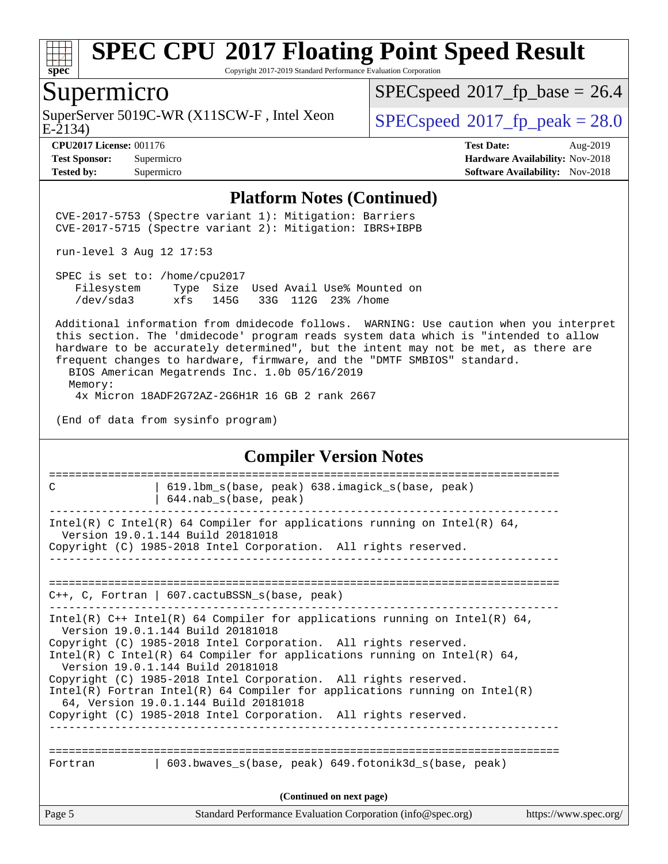

Copyright 2017-2019 Standard Performance Evaluation Corporation

#### Supermicro

SuperServer 5019C-WR (X11SCW-F, Intel Xeon E-2134)

 $SPECspeed*2017_fp\_base = 26.4$  $SPECspeed*2017_fp\_base = 26.4$ 

 $SPECspeed*2017_f p\_peak = 28.0$  $SPECspeed*2017_f p\_peak = 28.0$ 

**[Tested by:](http://www.spec.org/auto/cpu2017/Docs/result-fields.html#Testedby)** Supermicro **Supermicro [Software Availability:](http://www.spec.org/auto/cpu2017/Docs/result-fields.html#SoftwareAvailability)** Nov-2018

**[CPU2017 License:](http://www.spec.org/auto/cpu2017/Docs/result-fields.html#CPU2017License)** 001176 **[Test Date:](http://www.spec.org/auto/cpu2017/Docs/result-fields.html#TestDate)** Aug-2019 **[Test Sponsor:](http://www.spec.org/auto/cpu2017/Docs/result-fields.html#TestSponsor)** Supermicro **[Hardware Availability:](http://www.spec.org/auto/cpu2017/Docs/result-fields.html#HardwareAvailability)** Nov-2018

#### **[Platform Notes \(Continued\)](http://www.spec.org/auto/cpu2017/Docs/result-fields.html#PlatformNotes)**

 CVE-2017-5753 (Spectre variant 1): Mitigation: Barriers CVE-2017-5715 (Spectre variant 2): Mitigation: IBRS+IBPB

run-level 3 Aug 12 17:53

 SPEC is set to: /home/cpu2017 Filesystem Type Size Used Avail Use% Mounted on /dev/sda3 xfs 145G 33G 112G 23% /home

 Additional information from dmidecode follows. WARNING: Use caution when you interpret this section. The 'dmidecode' program reads system data which is "intended to allow hardware to be accurately determined", but the intent may not be met, as there are frequent changes to hardware, firmware, and the "DMTF SMBIOS" standard.

 BIOS American Megatrends Inc. 1.0b 05/16/2019 Memory: 4x Micron 18ADF2G72AZ-2G6H1R 16 GB 2 rank 2667

(End of data from sysinfo program)

#### **[Compiler Version Notes](http://www.spec.org/auto/cpu2017/Docs/result-fields.html#CompilerVersionNotes)**

| C                        | 619.1bm s(base, peak) 638.imagick s(base, peak)<br>$644.nab_s(base, peak)$                                                                                                                                                                                                                                                                                                                                                                                                                                                                                         |                       |  |  |  |  |
|--------------------------|--------------------------------------------------------------------------------------------------------------------------------------------------------------------------------------------------------------------------------------------------------------------------------------------------------------------------------------------------------------------------------------------------------------------------------------------------------------------------------------------------------------------------------------------------------------------|-----------------------|--|--|--|--|
|                          | Intel(R) C Intel(R) 64 Compiler for applications running on Intel(R) 64,<br>Version 19.0.1.144 Build 20181018<br>Copyright (C) 1985-2018 Intel Corporation. All rights reserved.                                                                                                                                                                                                                                                                                                                                                                                   |                       |  |  |  |  |
|                          | C++, C, Fortran   607.cactuBSSN_s(base, peak)                                                                                                                                                                                                                                                                                                                                                                                                                                                                                                                      |                       |  |  |  |  |
|                          | Intel(R) $C++$ Intel(R) 64 Compiler for applications running on Intel(R) 64,<br>Version 19.0.1.144 Build 20181018<br>Copyright (C) 1985-2018 Intel Corporation. All rights reserved.<br>Intel(R) C Intel(R) 64 Compiler for applications running on Intel(R) 64,<br>Version 19.0.1.144 Build 20181018<br>Copyright (C) 1985-2018 Intel Corporation. All rights reserved.<br>Intel(R) Fortran Intel(R) 64 Compiler for applications running on Intel(R)<br>64, Version 19.0.1.144 Build 20181018<br>Copyright (C) 1985-2018 Intel Corporation. All rights reserved. |                       |  |  |  |  |
| Fortran                  | 603.bwaves s(base, peak) 649.fotonik3d s(base, peak)                                                                                                                                                                                                                                                                                                                                                                                                                                                                                                               |                       |  |  |  |  |
| (Continued on next page) |                                                                                                                                                                                                                                                                                                                                                                                                                                                                                                                                                                    |                       |  |  |  |  |
| Page 5                   | Standard Performance Evaluation Corporation (info@spec.org)                                                                                                                                                                                                                                                                                                                                                                                                                                                                                                        | https://www.spec.org/ |  |  |  |  |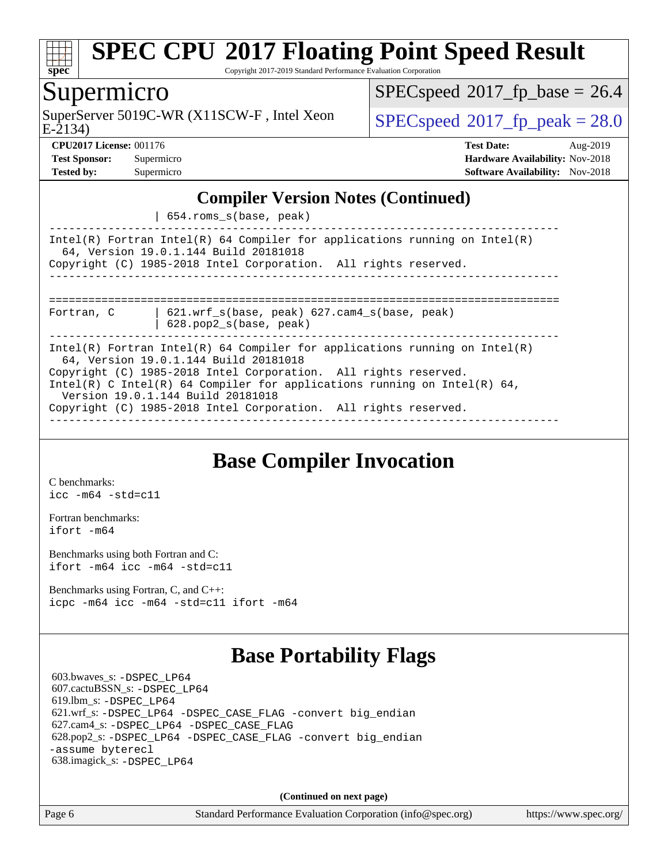

Copyright 2017-2019 Standard Performance Evaluation Corporation

### Supermicro

E-2134) SuperServer 5019C-WR (X11SCW-F, Intel Xeon  $SPEC speed^{\circ}2017$  fp\_peak = 28.0

 $SPECspeed*2017_fp\_base = 26.4$  $SPECspeed*2017_fp\_base = 26.4$ 

**[CPU2017 License:](http://www.spec.org/auto/cpu2017/Docs/result-fields.html#CPU2017License)** 001176 **[Test Date:](http://www.spec.org/auto/cpu2017/Docs/result-fields.html#TestDate)** Aug-2019 **[Test Sponsor:](http://www.spec.org/auto/cpu2017/Docs/result-fields.html#TestSponsor)** Supermicro **[Hardware Availability:](http://www.spec.org/auto/cpu2017/Docs/result-fields.html#HardwareAvailability)** Nov-2018 **[Tested by:](http://www.spec.org/auto/cpu2017/Docs/result-fields.html#Testedby)** Supermicro **[Software Availability:](http://www.spec.org/auto/cpu2017/Docs/result-fields.html#SoftwareAvailability)** Nov-2018

#### **[Compiler Version Notes \(Continued\)](http://www.spec.org/auto/cpu2017/Docs/result-fields.html#CompilerVersionNotes)**

| 654.roms\_s(base, peak)

------------------------------------------------------------------------------ Intel(R) Fortran Intel(R) 64 Compiler for applications running on Intel(R) 64, Version 19.0.1.144 Build 20181018 Copyright (C) 1985-2018 Intel Corporation. All rights reserved. ------------------------------------------------------------------------------ ============================================================================== Fortran, C | 621.wrf\_s(base, peak) 627.cam4\_s(base, peak)

| 628.pop2\_s(base, peak)

------------------------------------------------------------------------------ Intel(R) Fortran Intel(R) 64 Compiler for applications running on Intel(R) 64, Version 19.0.1.144 Build 20181018 Copyright (C) 1985-2018 Intel Corporation. All rights reserved. Intel(R) C Intel(R) 64 Compiler for applications running on Intel(R) 64, Version 19.0.1.144 Build 20181018 Copyright (C) 1985-2018 Intel Corporation. All rights reserved.

------------------------------------------------------------------------------

# **[Base Compiler Invocation](http://www.spec.org/auto/cpu2017/Docs/result-fields.html#BaseCompilerInvocation)**

[C benchmarks](http://www.spec.org/auto/cpu2017/Docs/result-fields.html#Cbenchmarks): [icc -m64 -std=c11](http://www.spec.org/cpu2017/results/res2019q3/cpu2017-20190819-17135.flags.html#user_CCbase_intel_icc_64bit_c11_33ee0cdaae7deeeab2a9725423ba97205ce30f63b9926c2519791662299b76a0318f32ddfffdc46587804de3178b4f9328c46fa7c2b0cd779d7a61945c91cd35)

[Fortran benchmarks](http://www.spec.org/auto/cpu2017/Docs/result-fields.html#Fortranbenchmarks): [ifort -m64](http://www.spec.org/cpu2017/results/res2019q3/cpu2017-20190819-17135.flags.html#user_FCbase_intel_ifort_64bit_24f2bb282fbaeffd6157abe4f878425411749daecae9a33200eee2bee2fe76f3b89351d69a8130dd5949958ce389cf37ff59a95e7a40d588e8d3a57e0c3fd751)

[Benchmarks using both Fortran and C](http://www.spec.org/auto/cpu2017/Docs/result-fields.html#BenchmarksusingbothFortranandC): [ifort -m64](http://www.spec.org/cpu2017/results/res2019q3/cpu2017-20190819-17135.flags.html#user_CC_FCbase_intel_ifort_64bit_24f2bb282fbaeffd6157abe4f878425411749daecae9a33200eee2bee2fe76f3b89351d69a8130dd5949958ce389cf37ff59a95e7a40d588e8d3a57e0c3fd751) [icc -m64 -std=c11](http://www.spec.org/cpu2017/results/res2019q3/cpu2017-20190819-17135.flags.html#user_CC_FCbase_intel_icc_64bit_c11_33ee0cdaae7deeeab2a9725423ba97205ce30f63b9926c2519791662299b76a0318f32ddfffdc46587804de3178b4f9328c46fa7c2b0cd779d7a61945c91cd35)

[Benchmarks using Fortran, C, and C++:](http://www.spec.org/auto/cpu2017/Docs/result-fields.html#BenchmarksusingFortranCandCXX) [icpc -m64](http://www.spec.org/cpu2017/results/res2019q3/cpu2017-20190819-17135.flags.html#user_CC_CXX_FCbase_intel_icpc_64bit_4ecb2543ae3f1412ef961e0650ca070fec7b7afdcd6ed48761b84423119d1bf6bdf5cad15b44d48e7256388bc77273b966e5eb805aefd121eb22e9299b2ec9d9) [icc -m64 -std=c11](http://www.spec.org/cpu2017/results/res2019q3/cpu2017-20190819-17135.flags.html#user_CC_CXX_FCbase_intel_icc_64bit_c11_33ee0cdaae7deeeab2a9725423ba97205ce30f63b9926c2519791662299b76a0318f32ddfffdc46587804de3178b4f9328c46fa7c2b0cd779d7a61945c91cd35) [ifort -m64](http://www.spec.org/cpu2017/results/res2019q3/cpu2017-20190819-17135.flags.html#user_CC_CXX_FCbase_intel_ifort_64bit_24f2bb282fbaeffd6157abe4f878425411749daecae9a33200eee2bee2fe76f3b89351d69a8130dd5949958ce389cf37ff59a95e7a40d588e8d3a57e0c3fd751)

## **[Base Portability Flags](http://www.spec.org/auto/cpu2017/Docs/result-fields.html#BasePortabilityFlags)**

 603.bwaves\_s: [-DSPEC\\_LP64](http://www.spec.org/cpu2017/results/res2019q3/cpu2017-20190819-17135.flags.html#suite_basePORTABILITY603_bwaves_s_DSPEC_LP64) 607.cactuBSSN\_s: [-DSPEC\\_LP64](http://www.spec.org/cpu2017/results/res2019q3/cpu2017-20190819-17135.flags.html#suite_basePORTABILITY607_cactuBSSN_s_DSPEC_LP64) 619.lbm\_s: [-DSPEC\\_LP64](http://www.spec.org/cpu2017/results/res2019q3/cpu2017-20190819-17135.flags.html#suite_basePORTABILITY619_lbm_s_DSPEC_LP64) 621.wrf\_s: [-DSPEC\\_LP64](http://www.spec.org/cpu2017/results/res2019q3/cpu2017-20190819-17135.flags.html#suite_basePORTABILITY621_wrf_s_DSPEC_LP64) [-DSPEC\\_CASE\\_FLAG](http://www.spec.org/cpu2017/results/res2019q3/cpu2017-20190819-17135.flags.html#b621.wrf_s_baseCPORTABILITY_DSPEC_CASE_FLAG) [-convert big\\_endian](http://www.spec.org/cpu2017/results/res2019q3/cpu2017-20190819-17135.flags.html#user_baseFPORTABILITY621_wrf_s_convert_big_endian_c3194028bc08c63ac5d04de18c48ce6d347e4e562e8892b8bdbdc0214820426deb8554edfa529a3fb25a586e65a3d812c835984020483e7e73212c4d31a38223) 627.cam4\_s: [-DSPEC\\_LP64](http://www.spec.org/cpu2017/results/res2019q3/cpu2017-20190819-17135.flags.html#suite_basePORTABILITY627_cam4_s_DSPEC_LP64) [-DSPEC\\_CASE\\_FLAG](http://www.spec.org/cpu2017/results/res2019q3/cpu2017-20190819-17135.flags.html#b627.cam4_s_baseCPORTABILITY_DSPEC_CASE_FLAG) 628.pop2\_s: [-DSPEC\\_LP64](http://www.spec.org/cpu2017/results/res2019q3/cpu2017-20190819-17135.flags.html#suite_basePORTABILITY628_pop2_s_DSPEC_LP64) [-DSPEC\\_CASE\\_FLAG](http://www.spec.org/cpu2017/results/res2019q3/cpu2017-20190819-17135.flags.html#b628.pop2_s_baseCPORTABILITY_DSPEC_CASE_FLAG) [-convert big\\_endian](http://www.spec.org/cpu2017/results/res2019q3/cpu2017-20190819-17135.flags.html#user_baseFPORTABILITY628_pop2_s_convert_big_endian_c3194028bc08c63ac5d04de18c48ce6d347e4e562e8892b8bdbdc0214820426deb8554edfa529a3fb25a586e65a3d812c835984020483e7e73212c4d31a38223) [-assume byterecl](http://www.spec.org/cpu2017/results/res2019q3/cpu2017-20190819-17135.flags.html#user_baseFPORTABILITY628_pop2_s_assume_byterecl_7e47d18b9513cf18525430bbf0f2177aa9bf368bc7a059c09b2c06a34b53bd3447c950d3f8d6c70e3faf3a05c8557d66a5798b567902e8849adc142926523472) 638.imagick\_s: [-DSPEC\\_LP64](http://www.spec.org/cpu2017/results/res2019q3/cpu2017-20190819-17135.flags.html#suite_basePORTABILITY638_imagick_s_DSPEC_LP64)

**(Continued on next page)**

Page 6 Standard Performance Evaluation Corporation [\(info@spec.org\)](mailto:info@spec.org) <https://www.spec.org/>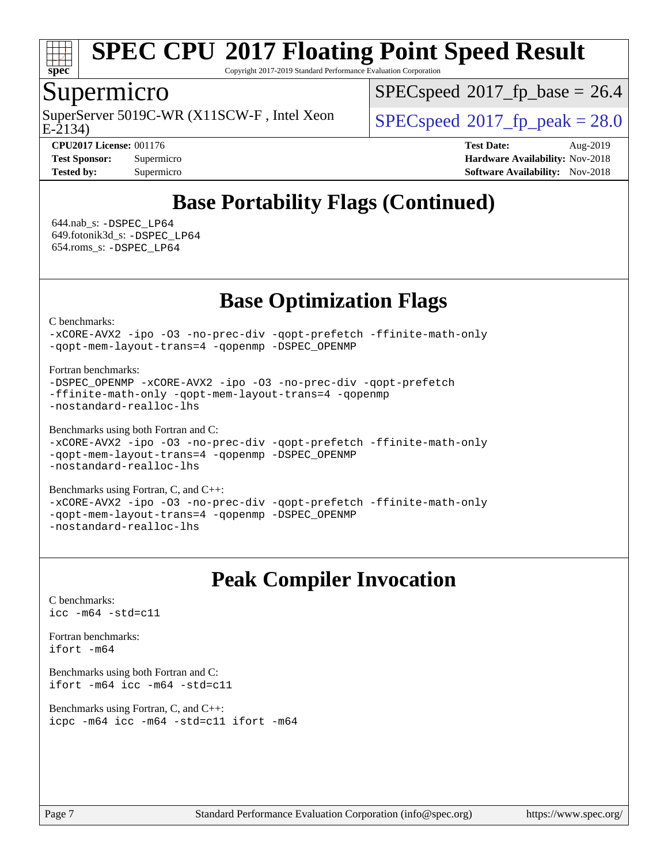

Copyright 2017-2019 Standard Performance Evaluation Corporation

### Supermicro

E-2134) SuperServer 5019C-WR (X11SCW-F, Intel Xeon  $SPEC speed^{\circ}2017$  fp\_peak = 28.0

 $SPECspeed*2017_fp\_base = 26.4$  $SPECspeed*2017_fp\_base = 26.4$ 

**[CPU2017 License:](http://www.spec.org/auto/cpu2017/Docs/result-fields.html#CPU2017License)** 001176 **[Test Date:](http://www.spec.org/auto/cpu2017/Docs/result-fields.html#TestDate)** Aug-2019 **[Test Sponsor:](http://www.spec.org/auto/cpu2017/Docs/result-fields.html#TestSponsor)** Supermicro **[Hardware Availability:](http://www.spec.org/auto/cpu2017/Docs/result-fields.html#HardwareAvailability)** Nov-2018 **[Tested by:](http://www.spec.org/auto/cpu2017/Docs/result-fields.html#Testedby)** Supermicro **Supermicro [Software Availability:](http://www.spec.org/auto/cpu2017/Docs/result-fields.html#SoftwareAvailability)** Nov-2018

# **[Base Portability Flags \(Continued\)](http://www.spec.org/auto/cpu2017/Docs/result-fields.html#BasePortabilityFlags)**

 644.nab\_s: [-DSPEC\\_LP64](http://www.spec.org/cpu2017/results/res2019q3/cpu2017-20190819-17135.flags.html#suite_basePORTABILITY644_nab_s_DSPEC_LP64) 649.fotonik3d\_s: [-DSPEC\\_LP64](http://www.spec.org/cpu2017/results/res2019q3/cpu2017-20190819-17135.flags.html#suite_basePORTABILITY649_fotonik3d_s_DSPEC_LP64) 654.roms\_s: [-DSPEC\\_LP64](http://www.spec.org/cpu2017/results/res2019q3/cpu2017-20190819-17135.flags.html#suite_basePORTABILITY654_roms_s_DSPEC_LP64)

## **[Base Optimization Flags](http://www.spec.org/auto/cpu2017/Docs/result-fields.html#BaseOptimizationFlags)**

[C benchmarks](http://www.spec.org/auto/cpu2017/Docs/result-fields.html#Cbenchmarks):

[-xCORE-AVX2](http://www.spec.org/cpu2017/results/res2019q3/cpu2017-20190819-17135.flags.html#user_CCbase_f-xCORE-AVX2) [-ipo](http://www.spec.org/cpu2017/results/res2019q3/cpu2017-20190819-17135.flags.html#user_CCbase_f-ipo) [-O3](http://www.spec.org/cpu2017/results/res2019q3/cpu2017-20190819-17135.flags.html#user_CCbase_f-O3) [-no-prec-div](http://www.spec.org/cpu2017/results/res2019q3/cpu2017-20190819-17135.flags.html#user_CCbase_f-no-prec-div) [-qopt-prefetch](http://www.spec.org/cpu2017/results/res2019q3/cpu2017-20190819-17135.flags.html#user_CCbase_f-qopt-prefetch) [-ffinite-math-only](http://www.spec.org/cpu2017/results/res2019q3/cpu2017-20190819-17135.flags.html#user_CCbase_f_finite_math_only_cb91587bd2077682c4b38af759c288ed7c732db004271a9512da14a4f8007909a5f1427ecbf1a0fb78ff2a814402c6114ac565ca162485bbcae155b5e4258871) [-qopt-mem-layout-trans=4](http://www.spec.org/cpu2017/results/res2019q3/cpu2017-20190819-17135.flags.html#user_CCbase_f-qopt-mem-layout-trans_fa39e755916c150a61361b7846f310bcdf6f04e385ef281cadf3647acec3f0ae266d1a1d22d972a7087a248fd4e6ca390a3634700869573d231a252c784941a8) [-qopenmp](http://www.spec.org/cpu2017/results/res2019q3/cpu2017-20190819-17135.flags.html#user_CCbase_qopenmp_16be0c44f24f464004c6784a7acb94aca937f053568ce72f94b139a11c7c168634a55f6653758ddd83bcf7b8463e8028bb0b48b77bcddc6b78d5d95bb1df2967) [-DSPEC\\_OPENMP](http://www.spec.org/cpu2017/results/res2019q3/cpu2017-20190819-17135.flags.html#suite_CCbase_DSPEC_OPENMP)

[Fortran benchmarks](http://www.spec.org/auto/cpu2017/Docs/result-fields.html#Fortranbenchmarks):

```
-DSPEC_OPENMP -xCORE-AVX2 -ipo -O3 -no-prec-div -qopt-prefetch
-ffinite-math-only -qopt-mem-layout-trans=4 -qopenmp
-nostandard-realloc-lhs
```
[Benchmarks using both Fortran and C](http://www.spec.org/auto/cpu2017/Docs/result-fields.html#BenchmarksusingbothFortranandC):

```
-xCORE-AVX2 -ipo -O3 -no-prec-div -qopt-prefetch -ffinite-math-only
-qopt-mem-layout-trans=4 -qopenmp -DSPEC_OPENMP
-nostandard-realloc-lhs
```
[Benchmarks using Fortran, C, and C++:](http://www.spec.org/auto/cpu2017/Docs/result-fields.html#BenchmarksusingFortranCandCXX) [-xCORE-AVX2](http://www.spec.org/cpu2017/results/res2019q3/cpu2017-20190819-17135.flags.html#user_CC_CXX_FCbase_f-xCORE-AVX2) [-ipo](http://www.spec.org/cpu2017/results/res2019q3/cpu2017-20190819-17135.flags.html#user_CC_CXX_FCbase_f-ipo) [-O3](http://www.spec.org/cpu2017/results/res2019q3/cpu2017-20190819-17135.flags.html#user_CC_CXX_FCbase_f-O3) [-no-prec-div](http://www.spec.org/cpu2017/results/res2019q3/cpu2017-20190819-17135.flags.html#user_CC_CXX_FCbase_f-no-prec-div) [-qopt-prefetch](http://www.spec.org/cpu2017/results/res2019q3/cpu2017-20190819-17135.flags.html#user_CC_CXX_FCbase_f-qopt-prefetch) [-ffinite-math-only](http://www.spec.org/cpu2017/results/res2019q3/cpu2017-20190819-17135.flags.html#user_CC_CXX_FCbase_f_finite_math_only_cb91587bd2077682c4b38af759c288ed7c732db004271a9512da14a4f8007909a5f1427ecbf1a0fb78ff2a814402c6114ac565ca162485bbcae155b5e4258871) [-qopt-mem-layout-trans=4](http://www.spec.org/cpu2017/results/res2019q3/cpu2017-20190819-17135.flags.html#user_CC_CXX_FCbase_f-qopt-mem-layout-trans_fa39e755916c150a61361b7846f310bcdf6f04e385ef281cadf3647acec3f0ae266d1a1d22d972a7087a248fd4e6ca390a3634700869573d231a252c784941a8) [-qopenmp](http://www.spec.org/cpu2017/results/res2019q3/cpu2017-20190819-17135.flags.html#user_CC_CXX_FCbase_qopenmp_16be0c44f24f464004c6784a7acb94aca937f053568ce72f94b139a11c7c168634a55f6653758ddd83bcf7b8463e8028bb0b48b77bcddc6b78d5d95bb1df2967) [-DSPEC\\_OPENMP](http://www.spec.org/cpu2017/results/res2019q3/cpu2017-20190819-17135.flags.html#suite_CC_CXX_FCbase_DSPEC_OPENMP) [-nostandard-realloc-lhs](http://www.spec.org/cpu2017/results/res2019q3/cpu2017-20190819-17135.flags.html#user_CC_CXX_FCbase_f_2003_std_realloc_82b4557e90729c0f113870c07e44d33d6f5a304b4f63d4c15d2d0f1fab99f5daaed73bdb9275d9ae411527f28b936061aa8b9c8f2d63842963b95c9dd6426b8a)

## **[Peak Compiler Invocation](http://www.spec.org/auto/cpu2017/Docs/result-fields.html#PeakCompilerInvocation)**

[C benchmarks](http://www.spec.org/auto/cpu2017/Docs/result-fields.html#Cbenchmarks): [icc -m64 -std=c11](http://www.spec.org/cpu2017/results/res2019q3/cpu2017-20190819-17135.flags.html#user_CCpeak_intel_icc_64bit_c11_33ee0cdaae7deeeab2a9725423ba97205ce30f63b9926c2519791662299b76a0318f32ddfffdc46587804de3178b4f9328c46fa7c2b0cd779d7a61945c91cd35)

[Fortran benchmarks](http://www.spec.org/auto/cpu2017/Docs/result-fields.html#Fortranbenchmarks): [ifort -m64](http://www.spec.org/cpu2017/results/res2019q3/cpu2017-20190819-17135.flags.html#user_FCpeak_intel_ifort_64bit_24f2bb282fbaeffd6157abe4f878425411749daecae9a33200eee2bee2fe76f3b89351d69a8130dd5949958ce389cf37ff59a95e7a40d588e8d3a57e0c3fd751)

[Benchmarks using both Fortran and C](http://www.spec.org/auto/cpu2017/Docs/result-fields.html#BenchmarksusingbothFortranandC): [ifort -m64](http://www.spec.org/cpu2017/results/res2019q3/cpu2017-20190819-17135.flags.html#user_CC_FCpeak_intel_ifort_64bit_24f2bb282fbaeffd6157abe4f878425411749daecae9a33200eee2bee2fe76f3b89351d69a8130dd5949958ce389cf37ff59a95e7a40d588e8d3a57e0c3fd751) [icc -m64 -std=c11](http://www.spec.org/cpu2017/results/res2019q3/cpu2017-20190819-17135.flags.html#user_CC_FCpeak_intel_icc_64bit_c11_33ee0cdaae7deeeab2a9725423ba97205ce30f63b9926c2519791662299b76a0318f32ddfffdc46587804de3178b4f9328c46fa7c2b0cd779d7a61945c91cd35)

[Benchmarks using Fortran, C, and C++:](http://www.spec.org/auto/cpu2017/Docs/result-fields.html#BenchmarksusingFortranCandCXX) [icpc -m64](http://www.spec.org/cpu2017/results/res2019q3/cpu2017-20190819-17135.flags.html#user_CC_CXX_FCpeak_intel_icpc_64bit_4ecb2543ae3f1412ef961e0650ca070fec7b7afdcd6ed48761b84423119d1bf6bdf5cad15b44d48e7256388bc77273b966e5eb805aefd121eb22e9299b2ec9d9) [icc -m64 -std=c11](http://www.spec.org/cpu2017/results/res2019q3/cpu2017-20190819-17135.flags.html#user_CC_CXX_FCpeak_intel_icc_64bit_c11_33ee0cdaae7deeeab2a9725423ba97205ce30f63b9926c2519791662299b76a0318f32ddfffdc46587804de3178b4f9328c46fa7c2b0cd779d7a61945c91cd35) [ifort -m64](http://www.spec.org/cpu2017/results/res2019q3/cpu2017-20190819-17135.flags.html#user_CC_CXX_FCpeak_intel_ifort_64bit_24f2bb282fbaeffd6157abe4f878425411749daecae9a33200eee2bee2fe76f3b89351d69a8130dd5949958ce389cf37ff59a95e7a40d588e8d3a57e0c3fd751)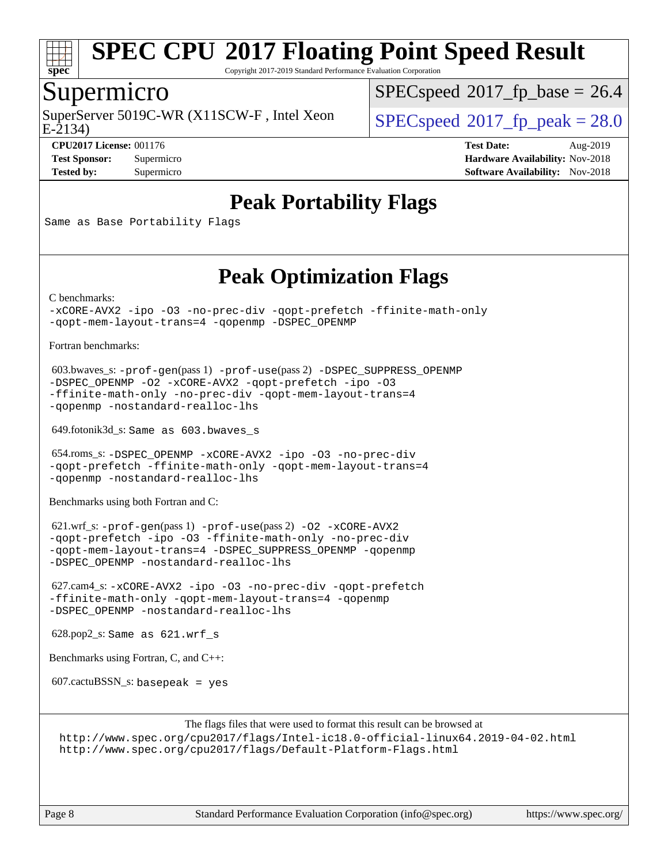

Copyright 2017-2019 Standard Performance Evaluation Corporation

### Supermicro

SuperServer 5019C-WR (X11SCW-F, Intel Xeon  $SPEC speed^{\circ}2017$  fp\_peak = 28.0

 $SPECspeed^{\circledcirc}2017$  $SPECspeed^{\circledcirc}2017$  fp base = 26.4

E-2134)

**[CPU2017 License:](http://www.spec.org/auto/cpu2017/Docs/result-fields.html#CPU2017License)** 001176 **[Test Date:](http://www.spec.org/auto/cpu2017/Docs/result-fields.html#TestDate)** Aug-2019 **[Test Sponsor:](http://www.spec.org/auto/cpu2017/Docs/result-fields.html#TestSponsor)** Supermicro **[Hardware Availability:](http://www.spec.org/auto/cpu2017/Docs/result-fields.html#HardwareAvailability)** Nov-2018 **[Tested by:](http://www.spec.org/auto/cpu2017/Docs/result-fields.html#Testedby)** Supermicro **Supermicro [Software Availability:](http://www.spec.org/auto/cpu2017/Docs/result-fields.html#SoftwareAvailability)** Nov-2018

## **[Peak Portability Flags](http://www.spec.org/auto/cpu2017/Docs/result-fields.html#PeakPortabilityFlags)**

Same as Base Portability Flags

## **[Peak Optimization Flags](http://www.spec.org/auto/cpu2017/Docs/result-fields.html#PeakOptimizationFlags)**

[C benchmarks](http://www.spec.org/auto/cpu2017/Docs/result-fields.html#Cbenchmarks):

[-xCORE-AVX2](http://www.spec.org/cpu2017/results/res2019q3/cpu2017-20190819-17135.flags.html#user_CCpeak_f-xCORE-AVX2) [-ipo](http://www.spec.org/cpu2017/results/res2019q3/cpu2017-20190819-17135.flags.html#user_CCpeak_f-ipo) [-O3](http://www.spec.org/cpu2017/results/res2019q3/cpu2017-20190819-17135.flags.html#user_CCpeak_f-O3) [-no-prec-div](http://www.spec.org/cpu2017/results/res2019q3/cpu2017-20190819-17135.flags.html#user_CCpeak_f-no-prec-div) [-qopt-prefetch](http://www.spec.org/cpu2017/results/res2019q3/cpu2017-20190819-17135.flags.html#user_CCpeak_f-qopt-prefetch) [-ffinite-math-only](http://www.spec.org/cpu2017/results/res2019q3/cpu2017-20190819-17135.flags.html#user_CCpeak_f_finite_math_only_cb91587bd2077682c4b38af759c288ed7c732db004271a9512da14a4f8007909a5f1427ecbf1a0fb78ff2a814402c6114ac565ca162485bbcae155b5e4258871) [-qopt-mem-layout-trans=4](http://www.spec.org/cpu2017/results/res2019q3/cpu2017-20190819-17135.flags.html#user_CCpeak_f-qopt-mem-layout-trans_fa39e755916c150a61361b7846f310bcdf6f04e385ef281cadf3647acec3f0ae266d1a1d22d972a7087a248fd4e6ca390a3634700869573d231a252c784941a8) [-qopenmp](http://www.spec.org/cpu2017/results/res2019q3/cpu2017-20190819-17135.flags.html#user_CCpeak_qopenmp_16be0c44f24f464004c6784a7acb94aca937f053568ce72f94b139a11c7c168634a55f6653758ddd83bcf7b8463e8028bb0b48b77bcddc6b78d5d95bb1df2967) [-DSPEC\\_OPENMP](http://www.spec.org/cpu2017/results/res2019q3/cpu2017-20190819-17135.flags.html#suite_CCpeak_DSPEC_OPENMP)

[Fortran benchmarks](http://www.spec.org/auto/cpu2017/Docs/result-fields.html#Fortranbenchmarks):

```
 603.bwaves_s: -prof-gen(pass 1) -prof-use(pass 2) -DSPEC_SUPPRESS_OPENMP
-DSPEC_OPENMP -O2 -xCORE-AVX2 -qopt-prefetch -ipo -O3
-ffinite-math-only -no-prec-div -qopt-mem-layout-trans=4
-qopenmp -nostandard-realloc-lhs
```
649.fotonik3d\_s: Same as 603.bwaves\_s

```
 654.roms_s: -DSPEC_OPENMP -xCORE-AVX2 -ipo -O3 -no-prec-div
-qopt-prefetch -ffinite-math-only -qopt-mem-layout-trans=4
-qopenmp -nostandard-realloc-lhs
```
[Benchmarks using both Fortran and C](http://www.spec.org/auto/cpu2017/Docs/result-fields.html#BenchmarksusingbothFortranandC):

 621.wrf\_s: [-prof-gen](http://www.spec.org/cpu2017/results/res2019q3/cpu2017-20190819-17135.flags.html#user_peakPASS1_CFLAGSPASS1_FFLAGSPASS1_LDFLAGS621_wrf_s_prof_gen_5aa4926d6013ddb2a31985c654b3eb18169fc0c6952a63635c234f711e6e63dd76e94ad52365559451ec499a2cdb89e4dc58ba4c67ef54ca681ffbe1461d6b36)(pass 1) [-prof-use](http://www.spec.org/cpu2017/results/res2019q3/cpu2017-20190819-17135.flags.html#user_peakPASS2_CFLAGSPASS2_FFLAGSPASS2_LDFLAGS621_wrf_s_prof_use_1a21ceae95f36a2b53c25747139a6c16ca95bd9def2a207b4f0849963b97e94f5260e30a0c64f4bb623698870e679ca08317ef8150905d41bd88c6f78df73f19)(pass 2) [-O2](http://www.spec.org/cpu2017/results/res2019q3/cpu2017-20190819-17135.flags.html#user_peakPASS1_COPTIMIZEPASS1_FOPTIMIZE621_wrf_s_f-O2) [-xCORE-AVX2](http://www.spec.org/cpu2017/results/res2019q3/cpu2017-20190819-17135.flags.html#user_peakPASS2_COPTIMIZEPASS2_FOPTIMIZE621_wrf_s_f-xCORE-AVX2) [-qopt-prefetch](http://www.spec.org/cpu2017/results/res2019q3/cpu2017-20190819-17135.flags.html#user_peakPASS1_COPTIMIZEPASS1_FOPTIMIZEPASS2_COPTIMIZEPASS2_FOPTIMIZE621_wrf_s_f-qopt-prefetch) [-ipo](http://www.spec.org/cpu2017/results/res2019q3/cpu2017-20190819-17135.flags.html#user_peakPASS2_COPTIMIZEPASS2_FOPTIMIZE621_wrf_s_f-ipo) [-O3](http://www.spec.org/cpu2017/results/res2019q3/cpu2017-20190819-17135.flags.html#user_peakPASS2_COPTIMIZEPASS2_FOPTIMIZE621_wrf_s_f-O3) [-ffinite-math-only](http://www.spec.org/cpu2017/results/res2019q3/cpu2017-20190819-17135.flags.html#user_peakPASS1_COPTIMIZEPASS1_FOPTIMIZEPASS2_COPTIMIZEPASS2_FOPTIMIZE621_wrf_s_f_finite_math_only_cb91587bd2077682c4b38af759c288ed7c732db004271a9512da14a4f8007909a5f1427ecbf1a0fb78ff2a814402c6114ac565ca162485bbcae155b5e4258871) [-no-prec-div](http://www.spec.org/cpu2017/results/res2019q3/cpu2017-20190819-17135.flags.html#user_peakPASS2_COPTIMIZEPASS2_FOPTIMIZE621_wrf_s_f-no-prec-div) [-qopt-mem-layout-trans=4](http://www.spec.org/cpu2017/results/res2019q3/cpu2017-20190819-17135.flags.html#user_peakPASS1_COPTIMIZEPASS1_FOPTIMIZEPASS2_COPTIMIZEPASS2_FOPTIMIZE621_wrf_s_f-qopt-mem-layout-trans_fa39e755916c150a61361b7846f310bcdf6f04e385ef281cadf3647acec3f0ae266d1a1d22d972a7087a248fd4e6ca390a3634700869573d231a252c784941a8) [-DSPEC\\_SUPPRESS\\_OPENMP](http://www.spec.org/cpu2017/results/res2019q3/cpu2017-20190819-17135.flags.html#suite_peakPASS1_COPTIMIZEPASS1_FOPTIMIZE621_wrf_s_DSPEC_SUPPRESS_OPENMP) [-qopenmp](http://www.spec.org/cpu2017/results/res2019q3/cpu2017-20190819-17135.flags.html#user_peakPASS2_COPTIMIZEPASS2_FOPTIMIZE621_wrf_s_qopenmp_16be0c44f24f464004c6784a7acb94aca937f053568ce72f94b139a11c7c168634a55f6653758ddd83bcf7b8463e8028bb0b48b77bcddc6b78d5d95bb1df2967) [-DSPEC\\_OPENMP](http://www.spec.org/cpu2017/results/res2019q3/cpu2017-20190819-17135.flags.html#suite_peakPASS2_COPTIMIZEPASS2_FOPTIMIZE621_wrf_s_DSPEC_OPENMP) [-nostandard-realloc-lhs](http://www.spec.org/cpu2017/results/res2019q3/cpu2017-20190819-17135.flags.html#user_peakEXTRA_FOPTIMIZE621_wrf_s_f_2003_std_realloc_82b4557e90729c0f113870c07e44d33d6f5a304b4f63d4c15d2d0f1fab99f5daaed73bdb9275d9ae411527f28b936061aa8b9c8f2d63842963b95c9dd6426b8a)

 627.cam4\_s: [-xCORE-AVX2](http://www.spec.org/cpu2017/results/res2019q3/cpu2017-20190819-17135.flags.html#user_peakCOPTIMIZEFOPTIMIZE627_cam4_s_f-xCORE-AVX2) [-ipo](http://www.spec.org/cpu2017/results/res2019q3/cpu2017-20190819-17135.flags.html#user_peakCOPTIMIZEFOPTIMIZE627_cam4_s_f-ipo) [-O3](http://www.spec.org/cpu2017/results/res2019q3/cpu2017-20190819-17135.flags.html#user_peakCOPTIMIZEFOPTIMIZE627_cam4_s_f-O3) [-no-prec-div](http://www.spec.org/cpu2017/results/res2019q3/cpu2017-20190819-17135.flags.html#user_peakCOPTIMIZEFOPTIMIZE627_cam4_s_f-no-prec-div) [-qopt-prefetch](http://www.spec.org/cpu2017/results/res2019q3/cpu2017-20190819-17135.flags.html#user_peakCOPTIMIZEFOPTIMIZE627_cam4_s_f-qopt-prefetch) [-ffinite-math-only](http://www.spec.org/cpu2017/results/res2019q3/cpu2017-20190819-17135.flags.html#user_peakCOPTIMIZEFOPTIMIZE627_cam4_s_f_finite_math_only_cb91587bd2077682c4b38af759c288ed7c732db004271a9512da14a4f8007909a5f1427ecbf1a0fb78ff2a814402c6114ac565ca162485bbcae155b5e4258871) [-qopt-mem-layout-trans=4](http://www.spec.org/cpu2017/results/res2019q3/cpu2017-20190819-17135.flags.html#user_peakCOPTIMIZEFOPTIMIZE627_cam4_s_f-qopt-mem-layout-trans_fa39e755916c150a61361b7846f310bcdf6f04e385ef281cadf3647acec3f0ae266d1a1d22d972a7087a248fd4e6ca390a3634700869573d231a252c784941a8) [-qopenmp](http://www.spec.org/cpu2017/results/res2019q3/cpu2017-20190819-17135.flags.html#user_peakCOPTIMIZEFOPTIMIZE627_cam4_s_qopenmp_16be0c44f24f464004c6784a7acb94aca937f053568ce72f94b139a11c7c168634a55f6653758ddd83bcf7b8463e8028bb0b48b77bcddc6b78d5d95bb1df2967) [-DSPEC\\_OPENMP](http://www.spec.org/cpu2017/results/res2019q3/cpu2017-20190819-17135.flags.html#suite_peakCOPTIMIZEFOPTIMIZE627_cam4_s_DSPEC_OPENMP) [-nostandard-realloc-lhs](http://www.spec.org/cpu2017/results/res2019q3/cpu2017-20190819-17135.flags.html#user_peakEXTRA_FOPTIMIZE627_cam4_s_f_2003_std_realloc_82b4557e90729c0f113870c07e44d33d6f5a304b4f63d4c15d2d0f1fab99f5daaed73bdb9275d9ae411527f28b936061aa8b9c8f2d63842963b95c9dd6426b8a)

628.pop2\_s: Same as 621.wrf\_s

[Benchmarks using Fortran, C, and C++:](http://www.spec.org/auto/cpu2017/Docs/result-fields.html#BenchmarksusingFortranCandCXX)

 $607.cactuBSSN_s$ : basepeak = yes

[The flags files that were used to format this result can be browsed at](tmsearch)

<http://www.spec.org/cpu2017/flags/Intel-ic18.0-official-linux64.2019-04-02.html> <http://www.spec.org/cpu2017/flags/Default-Platform-Flags.html>